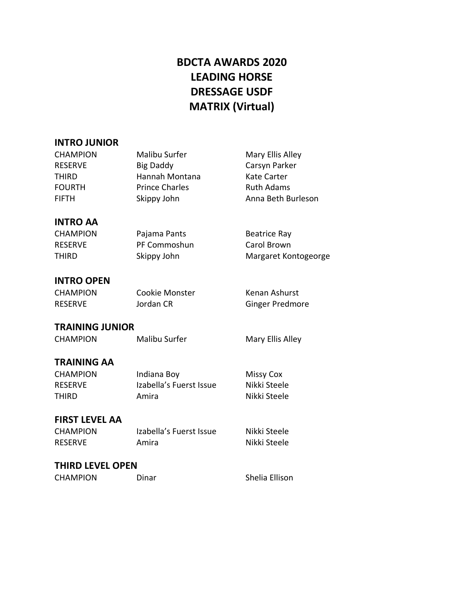# **BDCTA AWARDS 2020 LEADING HORSE DRESSAGE USDF MATRIX (Virtual)**

## **INTRO JUNIOR**

| <b>CHAMPION</b>         | <b>Malibu Surfer</b>    | Mary Ellis Alley       |
|-------------------------|-------------------------|------------------------|
| <b>RESERVE</b>          | <b>Big Daddy</b>        | Carsyn Parker          |
| THIRD                   | Hannah Montana          | <b>Kate Carter</b>     |
| <b>FOURTH</b>           | <b>Prince Charles</b>   | <b>Ruth Adams</b>      |
| <b>FIFTH</b>            | Skippy John             | Anna Beth Burleson     |
| <b>INTRO AA</b>         |                         |                        |
| <b>CHAMPION</b>         | Pajama Pants            | <b>Beatrice Ray</b>    |
| <b>RESERVE</b>          | PF Commoshun            | Carol Brown            |
| THIRD                   | Skippy John             | Margaret Kontogeorge   |
| <b>INTRO OPEN</b>       |                         |                        |
| <b>CHAMPION</b>         | Cookie Monster          | Kenan Ashurst          |
| <b>RESERVE</b>          | Jordan CR               | <b>Ginger Predmore</b> |
| <b>TRAINING JUNIOR</b>  |                         |                        |
| <b>CHAMPION</b>         | <b>Malibu Surfer</b>    | Mary Ellis Alley       |
| <b>TRAINING AA</b>      |                         |                        |
| <b>CHAMPION</b>         | Indiana Boy             | <b>Missy Cox</b>       |
| <b>RESERVE</b>          | Izabella's Fuerst Issue | Nikki Steele           |
| THIRD                   | Amira                   | Nikki Steele           |
| <b>FIRST LEVEL AA</b>   |                         |                        |
| <b>CHAMPION</b>         | Izabella's Fuerst Issue | Nikki Steele           |
| <b>RESERVE</b>          | Amira                   | Nikki Steele           |
| <b>THIRD LEVEL OPEN</b> |                         |                        |
| <b>CHAMPION</b>         | Dinar                   | Shelia Ellison         |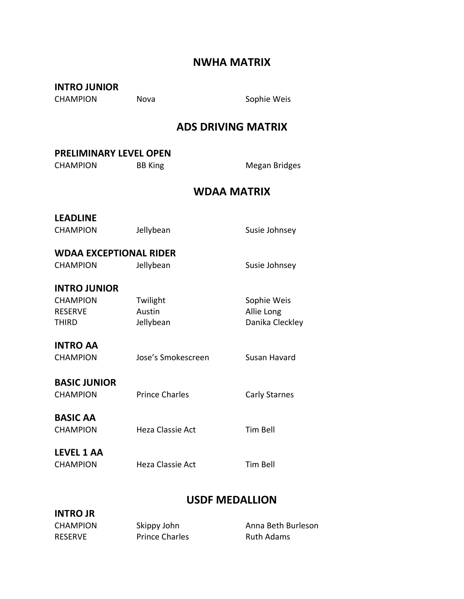# **NWHA MATRIX**

| <b>INTRO JUNIOR</b><br><b>CHAMPION</b>                            | Nova                            | Sophie Weis                                  |
|-------------------------------------------------------------------|---------------------------------|----------------------------------------------|
|                                                                   |                                 | <b>ADS DRIVING MATRIX</b>                    |
| <b>PRELIMINARY LEVEL OPEN</b><br><b>CHAMPION</b>                  | <b>BB King</b>                  | Megan Bridges                                |
|                                                                   |                                 | <b>WDAA MATRIX</b>                           |
| <b>LEADLINE</b><br><b>CHAMPION</b>                                | Jellybean                       | Susie Johnsey                                |
| <b>WDAA EXCEPTIONAL RIDER</b><br><b>CHAMPION</b>                  | Jellybean                       | Susie Johnsey                                |
| <b>INTRO JUNIOR</b><br><b>CHAMPION</b><br><b>RESERVE</b><br>THIRD | Twilight<br>Austin<br>Jellybean | Sophie Weis<br>Allie Long<br>Danika Cleckley |
| <b>INTRO AA</b><br><b>CHAMPION</b>                                | Jose's Smokescreen              | Susan Havard                                 |
| <b>BASIC JUNIOR</b><br><b>CHAMPION</b>                            | <b>Prince Charles</b>           | <b>Carly Starnes</b>                         |
| <b>BASIC AA</b><br><b>CHAMPION</b>                                | Heza Classie Act                | <b>Tim Bell</b>                              |
| <b>LEVEL 1 AA</b><br><b>CHAMPION</b>                              | Heza Classie Act                | <b>Tim Bell</b>                              |
|                                                                   |                                 |                                              |

## **USDF MEDALLION**

| <b>INTRO JR</b> |                       |                    |
|-----------------|-----------------------|--------------------|
| <b>CHAMPION</b> | Skippy John           | Anna Beth Burleson |
| RESERVE         | <b>Prince Charles</b> | Ruth Adams         |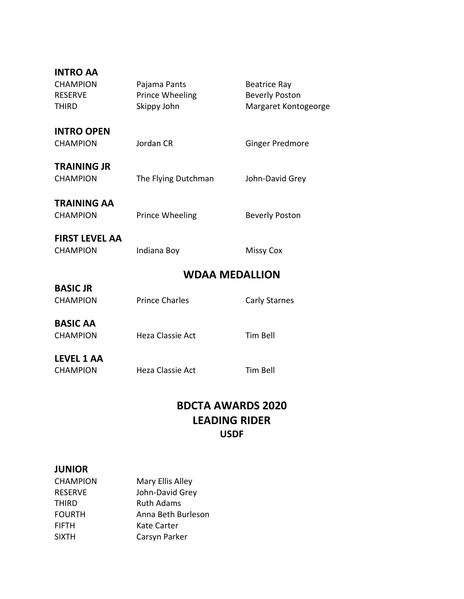| <b>INTRO AA</b><br><b>CHAMPION</b><br><b>RESERVE</b><br>THIRD | Pajama Pants<br>Prince Wheeling<br>Skippy John | <b>Beatrice Ray</b><br><b>Beverly Poston</b><br>Margaret Kontogeorge |
|---------------------------------------------------------------|------------------------------------------------|----------------------------------------------------------------------|
| <b>INTRO OPEN</b><br><b>CHAMPION</b>                          | Jordan CR                                      | <b>Ginger Predmore</b>                                               |
| <b>TRAINING JR</b><br><b>CHAMPION</b>                         | The Flying Dutchman                            | John-David Grey                                                      |
| <b>TRAINING AA</b><br><b>CHAMPION</b>                         | Prince Wheeling                                | <b>Beverly Poston</b>                                                |
| <b>FIRST LEVEL AA</b><br><b>CHAMPION</b>                      | Indiana Boy                                    | <b>Missy Cox</b>                                                     |
|                                                               | <b>WDAA MEDALLION</b>                          |                                                                      |
| <b>BASIC JR</b><br><b>CHAMPION</b>                            | <b>Prince Charles</b>                          | Carly Starnes                                                        |
| <b>BASIC AA</b><br><b>CHAMPION</b>                            | Heza Classie Act                               | <b>Tim Bell</b>                                                      |
| <b>LEVEL 1 AA</b><br><b>CHAMPION</b>                          | <b>Heza Classie Act</b>                        | <b>Tim Bell</b>                                                      |

## **BDCTA AWARDS 2020 LEADING RIDER USDF**

#### **JUNIOR**

| <b>CHAMPION</b> | Mary Ellis Alley   |
|-----------------|--------------------|
| <b>RESERVE</b>  | John-David Grey    |
| <b>THIRD</b>    | <b>Ruth Adams</b>  |
| <b>FOURTH</b>   | Anna Beth Burleson |
| <b>FIFTH</b>    | Kate Carter        |
| <b>SIXTH</b>    | Carsyn Parker      |